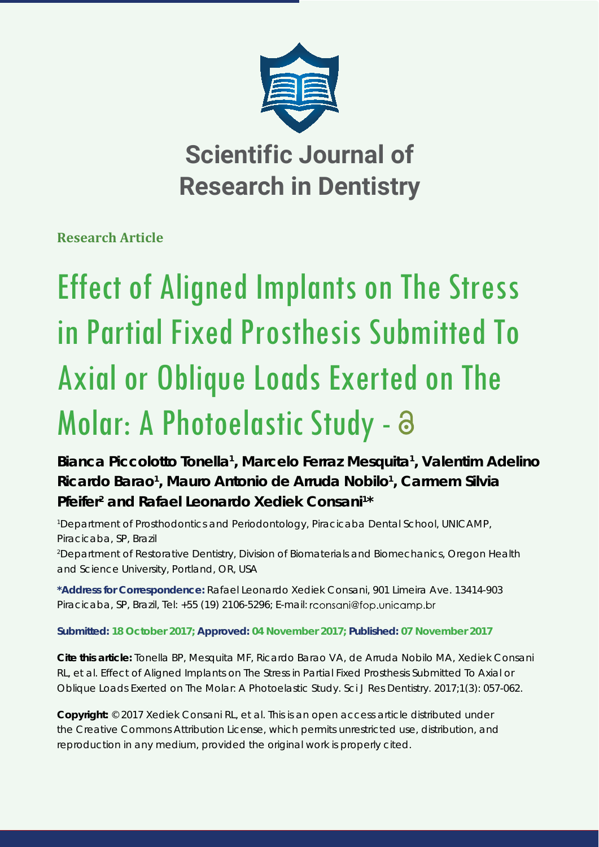

**Scientific Journal of Research in Dentistry**

**Research Article**

# Effect of Aligned Implants on The Stress in Partial Fixed Prosthesis Submitted To Axial or Oblique Loads Exerted on The Molar: A Photoelastic Study - a

**Bianca Piccolotto Tonella1 , Marcelo Ferraz Mesquita1 , Valentim Adelino**  Ricardo Barao<sup>1</sup>, Mauro Antonio de Arruda Nobilo<sup>1</sup>, Carmem Silvia Pfeifer<sup>2</sup> and Rafael Leonardo Xediek Consani<sup>1\*</sup>

*1 Department of Prosthodontics and Periodontology, Piracicaba Dental School, UNICAMP, Piracicaba, SP, Brazil*

*2 Department of Restorative Dentistry, Division of Biomaterials and Biomechanics, Oregon Health and Science University, Portland, OR, USA*

**\*Address for Correspondence:** Rafael Leonardo Xediek Consani, 901 Limeira Ave. 13414-903 Piracicaba, SP, Brazil, Tel: +55 (19) 2106-5296; E-mail: rconsani@fop.unicamp.br

**Submitted: 18 October 2017; Approved: 04 November 2017; Published: 07 November 2017**

**Cite this article:** Tonella BP, Mesquita MF, Ricardo Barao VA, de Arruda Nobilo MA, Xediek Consani RL, et al. Effect of Aligned Implants on The Stress in Partial Fixed Prosthesis Submitted To Axial or Oblique Loads Exerted on The Molar: A Photoelastic Study. Sci J Res Dentistry. 2017;1(3): 057-062.

**Copyright:** © 2017 Xediek Consani RL, et al. This is an open access article distributed under the Creative Commons Attribution License, which permits unrestricted use, distribution, and reproduction in any medium, provided the original work is properly cited.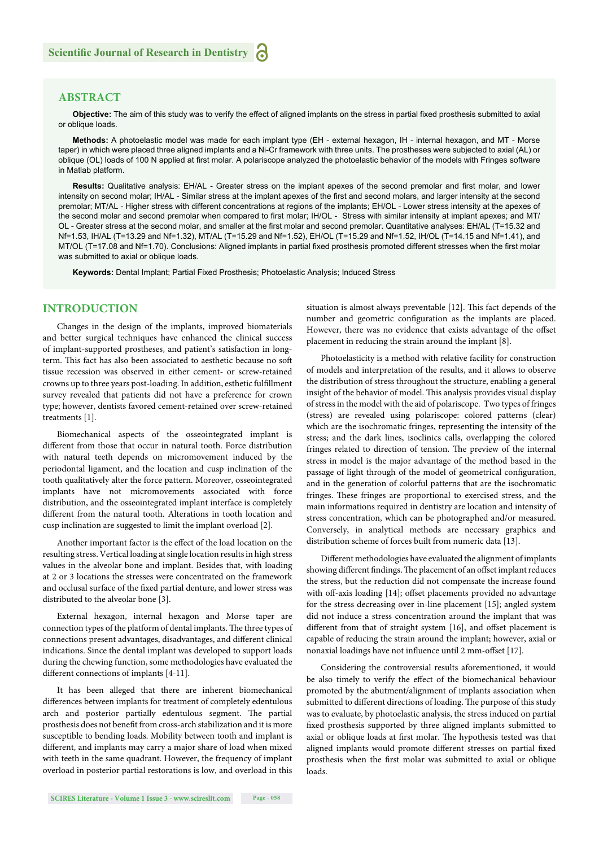# **ABSTRACT**

Objective: The aim of this study was to verify the effect of aligned implants on the stress in partial fixed prosthesis submitted to axial or oblique loads.

**Methods:** A photoelastic model was made for each implant type (EH - external hexagon, IH - internal hexagon, and MT - Morse taper) in which were placed three aligned implants and a Ni-Cr framework with three units. The prostheses were subjected to axial (AL) or oblique (OL) loads of 100 N applied at first molar. A polariscope analyzed the photoelastic behavior of the models with Fringes software in Matlab platform.

**Results:** Qualitative analysis: EH/AL - Greater stress on the implant apexes of the second premolar and first molar, and lower intensity on second molar; IH/AL - Similar stress at the implant apexes of the first and second molars, and larger intensity at the second premolar; MT/AL - Higher stress with different concentrations at regions of the implants; EH/OL - Lower stress intensity at the apexes of the second molar and second premolar when compared to first molar; IH/OL - Stress with similar intensity at implant apexes; and MT/ OL - Greater stress at the second molar, and smaller at the first molar and second premolar. Quantitative analyses: EH/AL (T=15.32 and Nf=1.53, IH/AL (T=13.29 and Nf=1.32), MT/AL (T=15.29 and Nf=1.52), EH/OL (T=15.29 and Nf=1.52, IH/OL (T=14.15 and Nf=1.41), and MT/OL (T=17.08 and Nf=1.70). Conclusions: Aligned implants in partial fixed prosthesis promoted different stresses when the first molar was submitted to axial or oblique loads.

**Keywords:** Dental Implant; Partial Fixed Prosthesis; Photoelastic Analysis; Induced Stress

## **INTRODUCTION**

Changes in the design of the implants, improved biomaterials and better surgical techniques have enhanced the clinical success of implant-supported prostheses, and patient's satisfaction in longterm. This fact has also been associated to aesthetic because no soft tissue recession was observed in either cement- or screw-retained crowns up to three years post-loading. In addition, esthetic fulfillment survey revealed that patients did not have a preference for crown type; however, dentists favored cement-retained over screw-retained treatments [1].

Biomechanical aspects of the osseointegrated implant is different from those that occur in natural tooth. Force distribution with natural teeth depends on micromovement induced by the periodontal ligament, and the location and cusp inclination of the tooth qualitatively alter the force pattern. Moreover, osseointegrated implants have not micromovements associated with force distribution, and the osseointegrated implant interface is completely different from the natural tooth. Alterations in tooth location and cusp inclination are suggested to limit the implant overload [2].

Another important factor is the effect of the load location on the resulting stress. Vertical loading at single location results in high stress values in the alveolar bone and implant. Besides that, with loading at 2 or 3 locations the stresses were concentrated on the framework and occlusal surface of the fixed partial denture, and lower stress was distributed to the alveolar bone [3].

External hexagon, internal hexagon and Morse taper are connection types of the platform of dental implants. The three types of connections present advantages, disadvantages, and different clinical indications. Since the dental implant was developed to support loads during the chewing function, some methodologies have evaluated the different connections of implants [4-11].

It has been alleged that there are inherent biomechanical differences between implants for treatment of completely edentulous arch and posterior partially edentulous segment. The partial prosthesis does not benefit from cross-arch stabilization and it is more susceptible to bending loads. Mobility between tooth and implant is different, and implants may carry a major share of load when mixed with teeth in the same quadrant. However, the frequency of implant overload in posterior partial restorations is low, and overload in this

situation is almost always preventable [12]. This fact depends of the number and geometric configuration as the implants are placed. However, there was no evidence that exists advantage of the offset placement in reducing the strain around the implant [8].

Photoelasticity is a method with relative facility for construction of models and interpretation of the results, and it allows to observe the distribution of stress throughout the structure, enabling a general insight of the behavior of model. This analysis provides visual display of stress in the model with the aid of polariscope. Two types of fringes (stress) are revealed using polariscope: colored patterns (clear) which are the isochromatic fringes, representing the intensity of the stress; and the dark lines, isoclinics calls, overlapping the colored fringes related to direction of tension. The preview of the internal stress in model is the major advantage of the method based in the passage of light through of the model of geometrical configuration, and in the generation of colorful patterns that are the isochromatic fringes. These fringes are proportional to exercised stress, and the main informations required in dentistry are location and intensity of stress concentration, which can be photographed and/or measured. Conversely, in analytical methods are necessary graphics and distribution scheme of forces built from numeric data [13].

Different methodologies have evaluated the alignment of implants showing different findings. The placement of an offset implant reduces the stress, but the reduction did not compensate the increase found with off-axis loading [14]; offset placements provided no advantage for the stress decreasing over in-line placement [15]; angled system did not induce a stress concentration around the implant that was different from that of straight system [16], and offset placement is capable of reducing the strain around the implant; however, axial or nonaxial loadings have not influence until 2 mm-offset [17].

Considering the controversial results aforementioned, it would be also timely to verify the effect of the biomechanical behaviour promoted by the abutment/alignment of implants association when submitted to different directions of loading. The purpose of this study was to evaluate, by photoelastic analysis, the stress induced on partial fixed prosthesis supported by three aligned implants submitted to axial or oblique loads at first molar. The hypothesis tested was that aligned implants would promote different stresses on partial fixed prosthesis when the first molar was submitted to axial or oblique loads.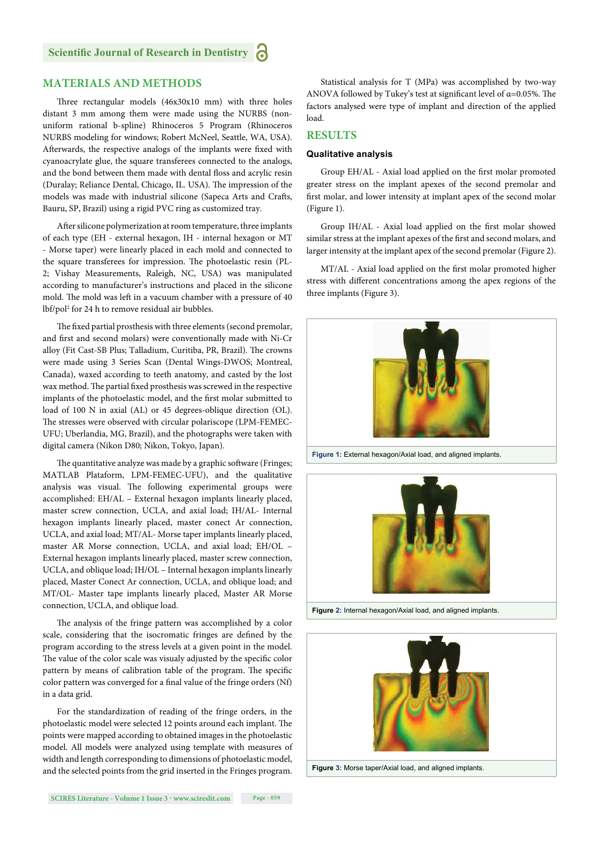# **MATERIALS AND METHODS**

Three rectangular models (46x30x10 mm) with three holes distant 3 mm among them were made using the NURBS (nonuniform rational b-spline) Rhinoceros 5 Program (Rhinoceros NURBS modeling for windows; Robert McNeel, Seattle, WA, USA). Afterwards, the respective analogs of the implants were fixed with cyanoacrylate glue, the square transferees connected to the analogs, and the bond between them made with dental floss and acrylic resin (Duralay; Reliance Dental, Chicago, IL. USA). The impression of the models was made with industrial silicone (Sapeca Arts and Crafts, Bauru, SP, Brazil) using a rigid PVC ring as customized tray.

After silicone polymerization at room temperature, three implants of each type (EH - external hexagon, IH - internal hexagon or MT - Morse taper) were linearly placed in each mold and connected to the square transferees for impression. The photoelastic resin (PL-2; Vishay Measurements, Raleigh, NC, USA) was manipulated according to manufacturer's instructions and placed in the silicone mold. The mold was left in a vacuum chamber with a pressure of 40 lbf/pol2 for 24 h to remove residual air bubbles.

The fixed partial prosthesis with three elements (second premolar, and first and second molars) were conventionally made with Ni-Cr alloy (Fit Cast-SB Plus; Talladium, Curitiba, PR, Brazil). The crowns were made using 3 Series Scan (Dental Wings-DWOS; Montreal, Canada), waxed according to teeth anatomy, and casted by the lost wax method. The partial fixed prosthesis was screwed in the respective implants of the photoelastic model, and the first molar submitted to load of 100 N in axial (AL) or 45 degrees-oblique direction (OL). The stresses were observed with circular polariscope (LPM-FEMEC-UFU; Uberlandia, MG, Brazil), and the photographs were taken with digital camera (Nikon D80; Nikon, Tokyo, Japan).

The quantitative analyze was made by a graphic software (Fringes; MATLAB Plataform, LPM-FEMEC-UFU), and the qualitative analysis was visual. The following experimental groups were accomplished: EH/AL – External hexagon implants linearly placed, master screw connection, UCLA, and axial load; IH/AL- Internal hexagon implants linearly placed, master conect Ar connection, UCLA, and axial load; MT/AL- Morse taper implants linearly placed, master AR Morse connection, UCLA, and axial load; EH/OL – External hexagon implants linearly placed, master screw connection, UCLA, and oblique load; IH/OL – Internal hexagon implants linearly placed, Master Conect Ar connection, UCLA, and oblique load; and MT/OL- Master tape implants linearly placed, Master AR Morse connection, UCLA, and oblique load.

The analysis of the fringe pattern was accomplished by a color scale, considering that the isocromatic fringes are defined by the program according to the stress levels at a given point in the model. The value of the color scale was visualy adjusted by the specific color pattern by means of calibration table of the program. The specific color pattern was converged for a final value of the fringe orders (Nf) in a data grid.

For the standardization of reading of the fringe orders, in the photoelastic model were selected 12 points around each implant. The points were mapped according to obtained images in the photoelastic model. All models were analyzed using template with measures of width and length corresponding to dimensions of photoelastic model, and the selected points from the grid inserted in the Fringes program.

Statistical analysis for T (MPa) was accomplished by two-way ANOVA followed by Tukey's test at significant level of  $\alpha$ =0.05%. The factors analysed were type of implant and direction of the applied load.

## **RESULTS**

## **Qualitative analysis**

Group EH/AL - Axial load applied on the first molar promoted greater stress on the implant apexes of the second premolar and first molar, and lower intensity at implant apex of the second molar (Figure 1).

Group IH/AL - Axial load applied on the first molar showed similar stress at the implant apexes of the first and second molars, and larger intensity at the implant apex of the second premolar (Figure 2).

MT/AL - Axial load applied on the first molar promoted higher stress with different concentrations among the apex regions of the three implants (Figure 3).



**Figure 1:** External hexagon/Axial load, and aligned implants.



**Figure 2:** Internal hexagon/Axial load, and aligned implants.



**Figure 3:** Morse taper/Axial load, and aligned implants.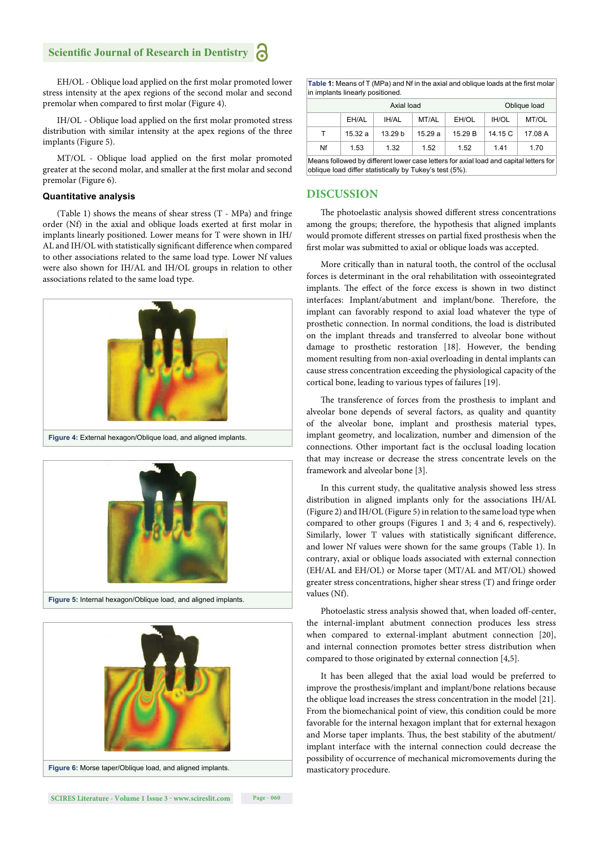# **Scientific Journal of Research in Dentistry**

EH/OL - Oblique load applied on the first molar promoted lower stress intensity at the apex regions of the second molar and second premolar when compared to first molar (Figure 4).

IH/OL - Oblique load applied on the first molar promoted stress distribution with similar intensity at the apex regions of the three implants (Figure 5).

MT/OL - Oblique load applied on the first molar promoted greater at the second molar, and smaller at the first molar and second premolar (Figure 6).

#### **Quantitative analysis**

(Table 1) shows the means of shear stress (T - MPa) and fringe order (Nf) in the axial and oblique loads exerted at first molar in implants linearly positioned. Lower means for T were shown in IH/ AL and IH/OL with statistically significant difference when compared to other associations related to the same load type. Lower Nf values were also shown for IH/AL and IH/OL groups in relation to other associations related to the same load type.



**Figure 4:** External hexagon/Oblique load, and aligned implants.



**Figure 5:** Internal hexagon/Oblique load, and aligned implants.



Table 1: Means of T (MPa) and Nf in the axial and oblique loads at the first molar in implants linearly positioned.

| Axial load                                                                            |        |                    |        |         | Oblique load |         |
|---------------------------------------------------------------------------------------|--------|--------------------|--------|---------|--------------|---------|
|                                                                                       | EH/AL  | <b>IH/AL</b>       | MT/AL  | EH/OL   | <b>IH/OL</b> | MT/OL   |
| т                                                                                     | 15.32a | 13.29 <sub>b</sub> | 15.29a | 15.29 B | 14.15 C      | 17.08 A |
| Nf                                                                                    | 1.53   | 1.32               | 1.52   | 1.52    | 141          | 1.70    |
| Means followed by different lower case letters for axial load and capital letters for |        |                    |        |         |              |         |

oblique load differ statistically by Tukey's test (5%).

### **DISCUSSION**

The photoelastic analysis showed different stress concentrations among the groups; therefore, the hypothesis that aligned implants would promote different stresses on partial fixed prosthesis when the first molar was submitted to axial or oblique loads was accepted.

More critically than in natural tooth, the control of the occlusal forces is determinant in the oral rehabilitation with osseointegrated implants. The effect of the force excess is shown in two distinct interfaces: Implant/abutment and implant/bone. Therefore, the implant can favorably respond to axial load whatever the type of prosthetic connection. In normal conditions, the load is distributed on the implant threads and transferred to alveolar bone without damage to prosthetic restoration [18]. However, the bending moment resulting from non-axial overloading in dental implants can cause stress concentration exceeding the physiological capacity of the cortical bone, leading to various types of failures [19].

The transference of forces from the prosthesis to implant and alveolar bone depends of several factors, as quality and quantity of the alveolar bone, implant and prosthesis material types, implant geometry, and localization, number and dimension of the connections. Other important fact is the occlusal loading location that may increase or decrease the stress concentrate levels on the framework and alveolar bone [3].

In this current study, the qualitative analysis showed less stress distribution in aligned implants only for the associations IH/AL (Figure 2) and IH/OL (Figure 5) in relation to the same load type when compared to other groups (Figures 1 and 3; 4 and 6, respectively). Similarly, lower T values with statistically significant difference, and lower Nf values were shown for the same groups (Table 1). In contrary, axial or oblique loads associated with external connection (EH/AL and EH/OL) or Morse taper (MT/AL and MT/OL) showed greater stress concentrations, higher shear stress (T) and fringe order values (Nf).

Photoelastic stress analysis showed that, when loaded off -center, the internal-implant abutment connection produces less stress when compared to external-implant abutment connection [20], and internal connection promotes better stress distribution when compared to those originated by external connection [4,5].

It has been alleged that the axial load would be preferred to improve the prosthesis/implant and implant/bone relations because the oblique load increases the stress concentration in the model [21]. From the biomechanical point of view, this condition could be more favorable for the internal hexagon implant that for external hexagon and Morse taper implants. Thus, the best stability of the abutment/ implant interface with the internal connection could decrease the possibility of occurrence of mechanical micromovements during the masticatory procedure.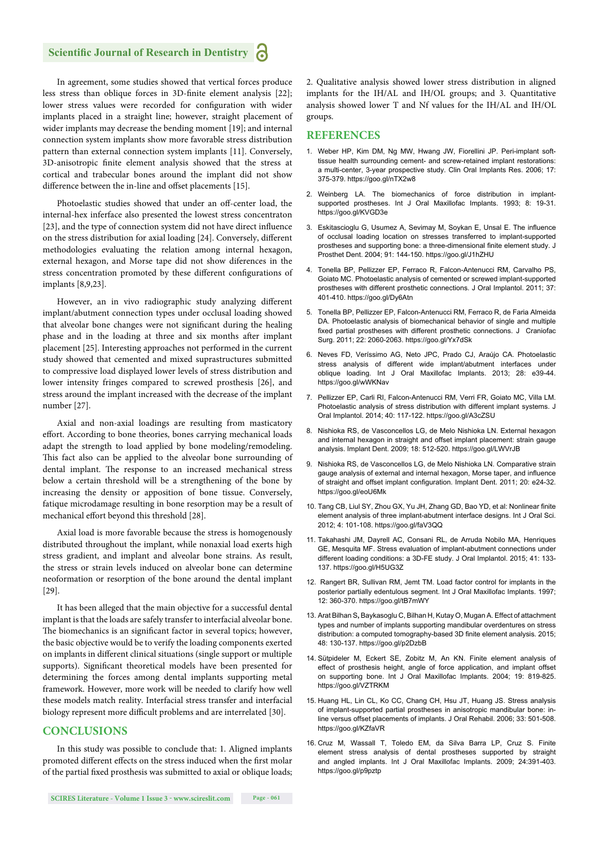# **Scientific Journal of Research in Dentistry**

In agreement, some studies showed that vertical forces produce less stress than oblique forces in 3D-finite element analysis [22]; lower stress values were recorded for configuration with wider implants placed in a straight line; however, straight placement of wider implants may decrease the bending moment [19]; and internal connection system implants show more favorable stress distribution pattern than external connection system implants [11]. Conversely, 3D-anisotropic finite element analysis showed that the stress at cortical and trabecular bones around the implant did not show difference between the in-line and offset placements [15].

Photoelastic studies showed that under an off-center load, the internal-hex inferface also presented the lowest stress concentraton [23], and the type of connection system did not have direct influence on the stress distribution for axial loading [24]. Conversely, different methodologies evaluating the relation among internal hexagon, external hexagon, and Morse tape did not show diferences in the stress concentration promoted by these different configurations of implants [8,9,23].

However, an in vivo radiographic study analyzing different implant/abutment connection types under occlusal loading showed that alveolar bone changes were not significant during the healing phase and in the loading at three and six months after implant placement [25]. Interesting approaches not performed in the current study showed that cemented and mixed suprastructures submitted to compressive load displayed lower levels of stress distribution and lower intensity fringes compared to screwed prosthesis [26], and stress around the implant increased with the decrease of the implant number [27].

Axial and non-axial loadings are resulting from masticatory effort. According to bone theories, bones carrying mechanical loads adapt the strength to load applied by bone modeling/remodeling. This fact also can be applied to the alveolar bone surrounding of dental implant. The response to an increased mechanical stress below a certain threshold will be a strengthening of the bone by increasing the density or apposition of bone tissue. Conversely, fatique microdamage resulting in bone resorption may be a result of mechanical effort beyond this threshold [28].

Axial load is more favorable because the stress is homogenously distributed throughout the implant, while nonaxial load exerts high stress gradient, and implant and alveolar bone strains. As result, the stress or strain levels induced on alveolar bone can determine neoformation or resorption of the bone around the dental implant [29].

It has been alleged that the main objective for a successful dental implant is that the loads are safely transfer to interfacial alveolar bone. The biomechanics is an significant factor in several topics; however, the basic objective would be to verify the loading components exerted on implants in different clinical situations (single support or multiple supports). Significant theoretical models have been presented for determining the forces among dental implants supporting metal framework. However, more work will be needed to clarify how well these models match reality. Interfacial stress transfer and interfacial biology represent more difficult problems and are interrelated [30].

# **CONCLUSIONS**

In this study was possible to conclude that: 1. Aligned implants promoted different effects on the stress induced when the first molar of the partial fixed prosthesis was submitted to axial or oblique loads; 2. Qualitative analysis showed lower stress distribution in aligned implants for the IH/AL and IH/OL groups; and 3. Quantitative analysis showed lower T and Nf values for the IH/AL and IH/OL groups.

#### **REFERENCES**

- 1. Weber HP, Kim DM, Ng MW, Hwang JW, Fiorellini JP. Peri-implant softtissue health surrounding cement- and screw-retained implant restorations: a multi-center, 3-year prospective study. Clin Oral Implants Res. 2006; 17: 375-379. https://goo.gl/nTX2w8
- 2. Weinberg LA. The biomechanics of force distribution in implantsupported prostheses. Int J Oral Maxillofac Implants. 1993; 8: 19-31. https://goo.gl/KVGD3e
- 3. Eskitascioglu G, Usumez A, Sevimay M, Soykan E, Unsal E. The influence of occlusal loading location on stresses transferred to implant-supported prostheses and supporting bone: a three-dimensional finite element study. J Prosthet Dent. 2004; 91: 144-150. https://goo.gl/J1hZHU
- 4. Tonella BP, Pellizzer EP, Ferraco R, Falcon-Antenucci RM, Carvalho PS, Goiato MC. Photoelastic analysis of cemented or screwed implant-supported prostheses with different prosthetic connections. J Oral Implantol. 2011; 37: 401-410. https://goo.gl/Dy6Atn
- 5. Tonella BP, Pellizzer EP, Falcon-Antenucci RM, Ferraco R, de Faria Almeida DA. Photoelastic analysis of biomechanical behavior of single and multiple fixed partial prostheses with different prosthetic connections. J Craniofac Surg. 2011; 22: 2060-2063. https://goo.gl/Yx7dSk
- 6. Neves FD, Veríssimo AG, Neto JPC, Prado CJ, Araújo CA. Photoelastic stress analysis of different wide implant/abutment interfaces under oblique loading. Int J Oral Maxillofac Implants. 2013; 28: e39-44. https://goo.gl/wWKNav
- 7. Pellizzer EP, Carli RI, Falcon-Antenucci RM, Verri FR, Goiato MC, Villa LM. Photoelastic analysis of stress distribution with different implant systems. J Oral Implantol. 2014; 40: 117-122. https://goo.gl/A3cZSU
- 8. Nishioka RS, de Vasconcellos LG, de Melo Nishioka LN. External hexagon and internal hexagon in straight and offset implant placement: strain gauge analysis. Implant Dent. 2009; 18: 512-520. https://goo.gl/LWVrJB
- 9. Nishioka RS, de Vasconcellos LG, de Melo Nishioka LN. Comparative strain gauge analysis of external and internal hexagon, Morse taper, and influence of straight and offset implant configuration. Implant Dent. 2011; 20: e24-32. https://goo.gl/eoU6Mk
- 10. Tang CB, Liul SY, Zhou GX, Yu JH, Zhang GD, Bao YD, et al: Nonlinear finite element analysis of three implant-abutment interface designs. Int J Oral Sci. 2012; 4: 101-108. https://goo.gl/faV3QQ
- 11. Takahashi JM, Dayrell AC, Consani RL, de Arruda Nobilo MA, Henriques GE, Mesquita MF. Stress evaluation of implant-abutment connections under different loading conditions: a 3D-FE study. J Oral Implantol. 2015; 41: 133- 137. https://goo.gl/H5UG3Z
- 12. Rangert BR, Sullivan RM, Jemt TM. Load factor control for implants in the posterior partially edentulous segment. Int J Oral Maxillofac Implants. 1997; 12: 360-370. https://goo.gl/tB7mWY
- 13. Arat Bilhan S**,** Baykasoglu C, Bilhan H, Kutay O, Mugan A. Effect of attachment types and number of implants supporting mandibular overdentures on stress distribution: a computed tomography-based 3D finite element analysis. 2015; 48: 130-137. https://goo.gl/p2DzbB
- 14. Sütpideler M, Eckert SE, Zobitz M, An KN. Finite element analysis of effect of prosthesis height, angle of force application, and implant offset on supporting bone. Int J Oral Maxillofac Implants. 2004; 19: 819-825. https://goo.gl/VZTRKM
- 15. Huang HL, Lin CL, Ko CC, Chang CH, Hsu JT, Huang JS. Stress analysis of implant-supported partial prostheses in anisotropic mandibular bone: inline versus offset placements of implants. J Oral Rehabil. 2006; 33: 501-508. https://goo.gl/KZfaVR
- 16. Cruz M, Wassall T, Toledo EM, da Silva Barra LP, Cruz S. Finite element stress analysis of dental prostheses supported by straight and angled implants. Int J Oral Maxillofac Implants. 2009; 24:391-403. https://goo.gl/p9pztp